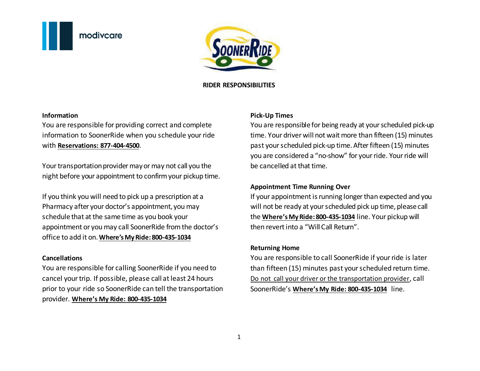



#### **RIDER RESPONSIBILITIES**

#### **Information**

You are responsible for providing correct and complete information to SoonerRide when you schedule your ride with **Reservations: 877-404-4500**.

Your transportation provider may or may not call you the night before your appointment to confirm your pickup time.

If you think you will need to pick up a prescription at a Pharmacy after your doctor's appointment, you may schedule that at the same time as you book your appointment or you may call SoonerRide from the doctor's office to add it on. **Where's My Ride: 800-435-1034** 

#### **Cancellations**

You are responsible for calling SoonerRide if you need to cancel your trip. If possible, please call at least 24 hours prior to your ride so SoonerRide can tell the transportation provider. **Where's My Ride: 800-435-1034** 

#### **Pick-Up Times**

You are responsible for being ready at your scheduled pick-up time. Your driver will not wait more than fifteen (15) minutes past your scheduled pick-up time. After fifteen (15) minutes you are considered a "no-show" for your ride. Your ride will be cancelled at that time.

## **Appointment Time Running Over**

If your appointment is running longer than expected and you will not be ready at your scheduled pick up time, please call the **Where's My Ride: 800-435-1034** line. Your pickup will then revert into a "Will Call Return".

### **Returning Home**

You are responsible to call SoonerRide if your ride is later than fifteen (15) minutes past your scheduled return time. Do not call your driver or the transportation provider, call SoonerRide's **Where's My Ride: 800-435-1034** line.